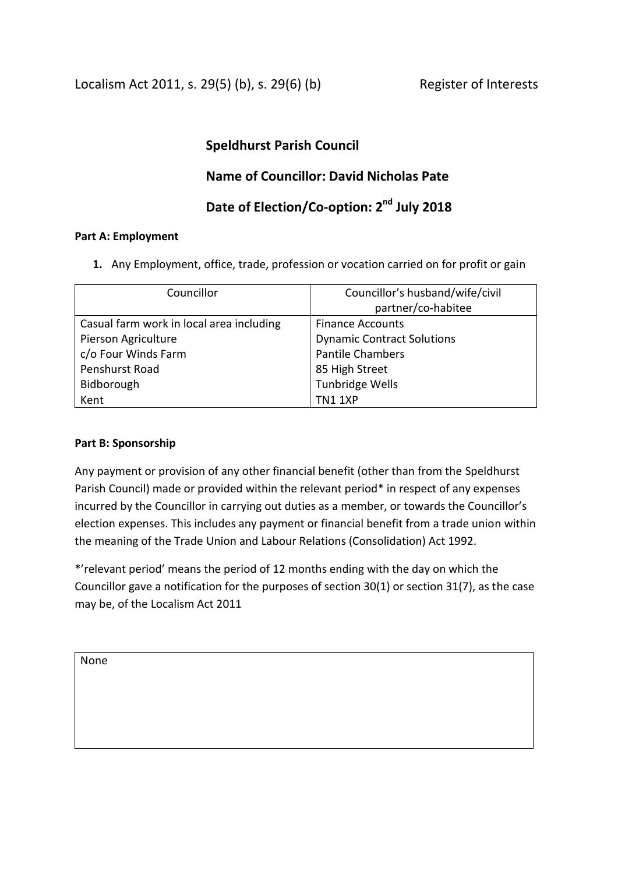Localism Act 2011, s. 29(5) (b), s. 29(6) (b) Register of Interests

## **Speldhurst Parish Council**

# **Name of Councillor: David Nicholas Pate**

# **Date of Election/Co-option: 2 nd July 2018**

### **Part A: Employment**

**1.** Any Employment, office, trade, profession or vocation carried on for profit or gain

| Councillor                               | Councillor's husband/wife/civil   |
|------------------------------------------|-----------------------------------|
|                                          | partner/co-habitee                |
| Casual farm work in local area including | <b>Finance Accounts</b>           |
| Pierson Agriculture                      | <b>Dynamic Contract Solutions</b> |
| c/o Four Winds Farm                      | <b>Pantile Chambers</b>           |
| Penshurst Road                           | 85 High Street                    |
| Bidborough                               | Tunbridge Wells                   |
| Kent                                     | TN1 1XP                           |

### **Part B: Sponsorship**

Any payment or provision of any other financial benefit (other than from the Speldhurst Parish Council) made or provided within the relevant period\* in respect of any expenses incurred by the Councillor in carrying out duties as a member, or towards the Councillor's election expenses. This includes any payment or financial benefit from a trade union within the meaning of the Trade Union and Labour Relations (Consolidation) Act 1992.

\*'relevant period' means the period of 12 months ending with the day on which the Councillor gave a notification for the purposes of section 30(1) or section 31(7), as the case may be, of the Localism Act 2011

None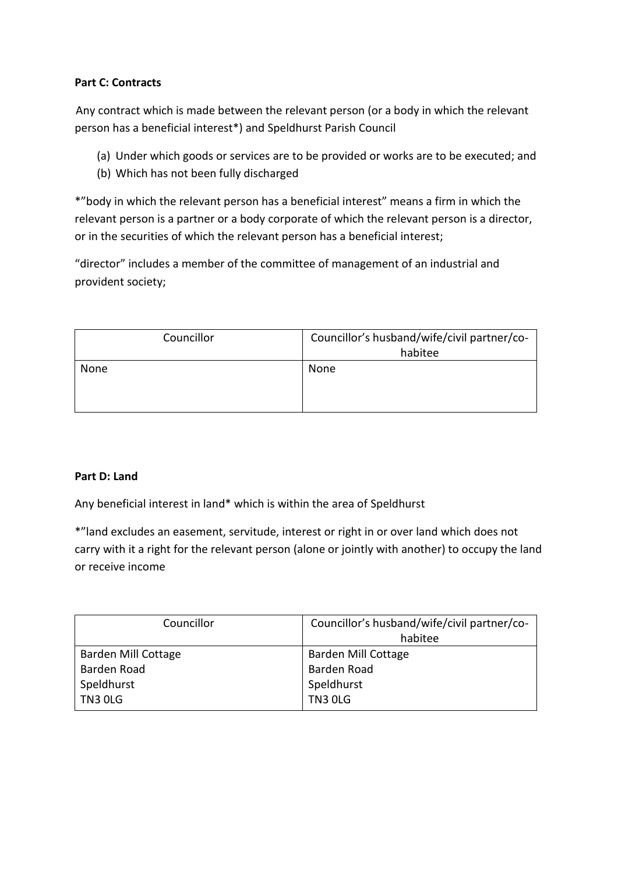## **Part C: Contracts**

 Any contract which is made between the relevant person (or a body in which the relevant person has a beneficial interest\*) and Speldhurst Parish Council

- (a) Under which goods or services are to be provided or works are to be executed; and
- (b) Which has not been fully discharged

\*"body in which the relevant person has a beneficial interest" means a firm in which the relevant person is a partner or a body corporate of which the relevant person is a director, or in the securities of which the relevant person has a beneficial interest;

"director" includes a member of the committee of management of an industrial and provident society;

| Councillor | Councillor's husband/wife/civil partner/co-<br>habitee |
|------------|--------------------------------------------------------|
| None       | None                                                   |

### **Part D: Land**

Any beneficial interest in land\* which is within the area of Speldhurst

\*"land excludes an easement, servitude, interest or right in or over land which does not carry with it a right for the relevant person (alone or jointly with another) to occupy the land or receive income

| Councillor          | Councillor's husband/wife/civil partner/co- |
|---------------------|---------------------------------------------|
|                     | habitee                                     |
| Barden Mill Cottage | Barden Mill Cottage                         |
| Barden Road         | Barden Road                                 |
| Speldhurst          | Speldhurst                                  |
| <b>TN3 0LG</b>      | <b>TN3 0LG</b>                              |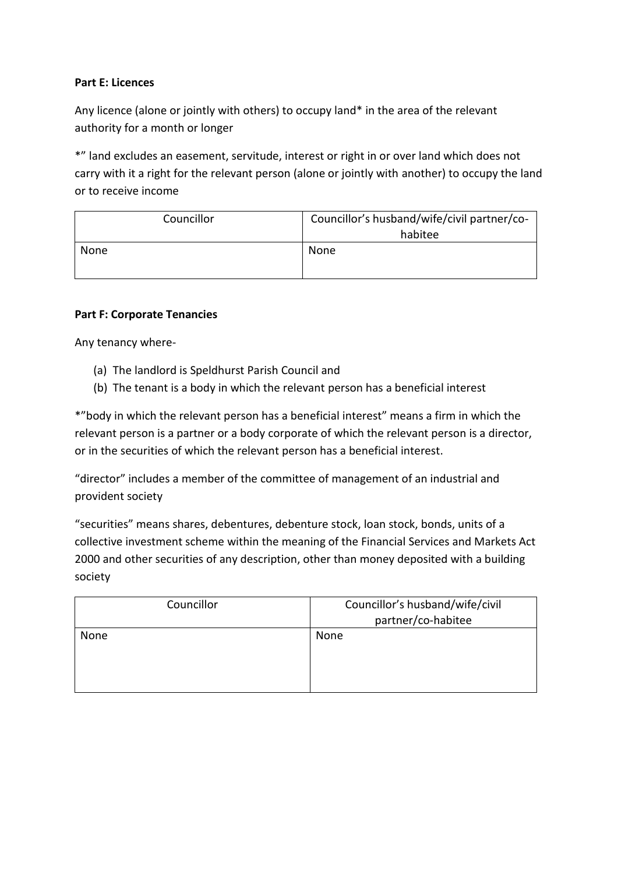### **Part E: Licences**

Any licence (alone or jointly with others) to occupy land\* in the area of the relevant authority for a month or longer

\*" land excludes an easement, servitude, interest or right in or over land which does not carry with it a right for the relevant person (alone or jointly with another) to occupy the land or to receive income

| Councillor | Councillor's husband/wife/civil partner/co-<br>habitee |
|------------|--------------------------------------------------------|
| None       | None                                                   |

#### **Part F: Corporate Tenancies**

Any tenancy where-

- (a) The landlord is Speldhurst Parish Council and
- (b) The tenant is a body in which the relevant person has a beneficial interest

\*"body in which the relevant person has a beneficial interest" means a firm in which the relevant person is a partner or a body corporate of which the relevant person is a director, or in the securities of which the relevant person has a beneficial interest.

"director" includes a member of the committee of management of an industrial and provident society

"securities" means shares, debentures, debenture stock, loan stock, bonds, units of a collective investment scheme within the meaning of the Financial Services and Markets Act 2000 and other securities of any description, other than money deposited with a building society

| Councillor | Councillor's husband/wife/civil<br>partner/co-habitee |
|------------|-------------------------------------------------------|
| None       | None                                                  |